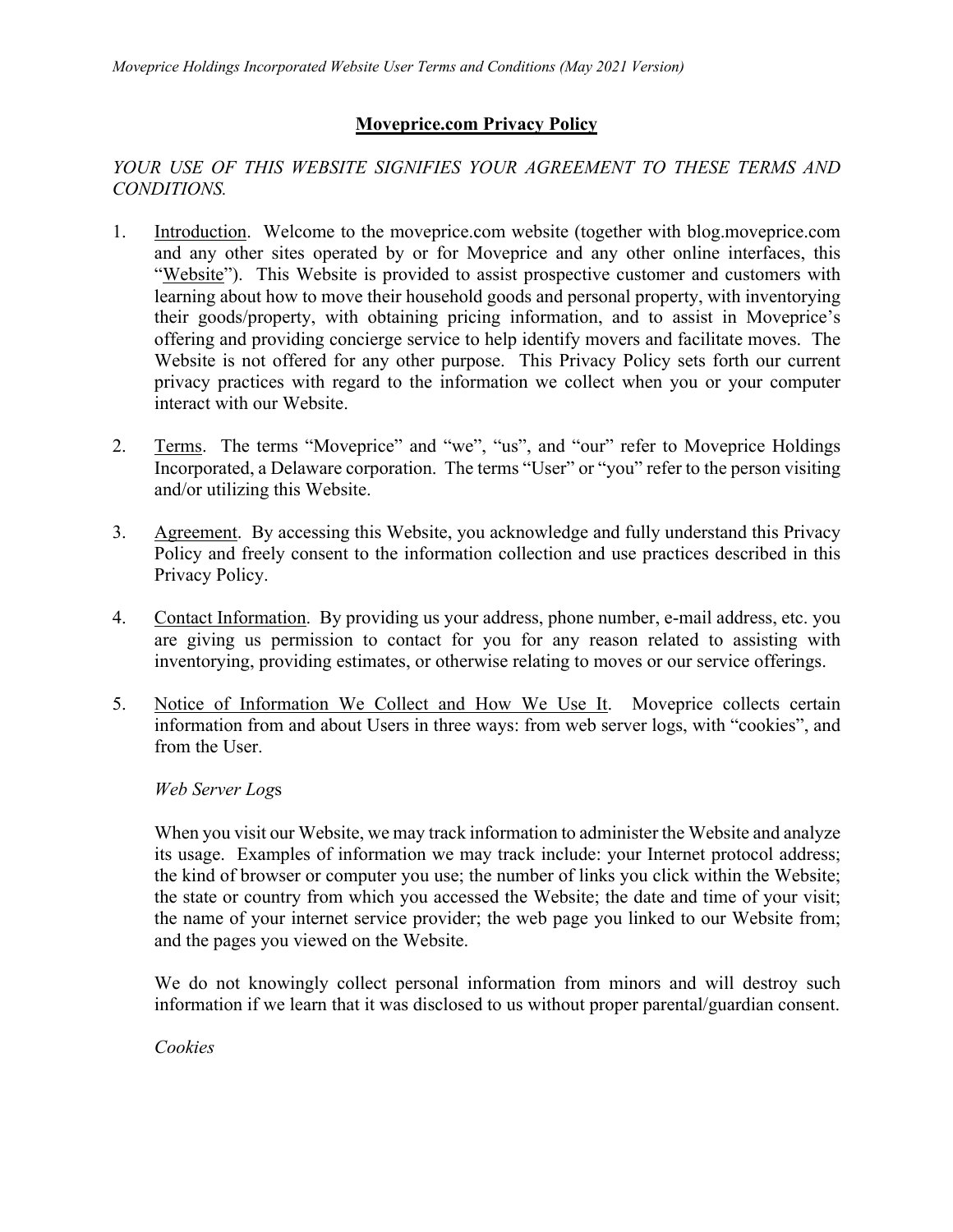## **Moveprice.com Privacy Policy**

## YOUR USE OF THIS WEBSITE SIGNIFIES YOUR AGREEMENT TO THESE TERMS AND *CONDITIONS.*

- 1. Introduction. Welcome to the moveprice.com website (together with blog.moveprice.com and any other sites operated by or for Moveprice and any other online interfaces, this "Website"). This Website is provided to assist prospective customer and customers with learning about how to move their household goods and personal property, with inventorying their goods/property, with obtaining pricing information, and to assist in Moveprice's offering and providing concierge service to help identify movers and facilitate moves. The Website is not offered for any other purpose. This Privacy Policy sets forth our current privacy practices with regard to the information we collect when you or your computer interact with our Website.
- 2. Terms. The terms "Moveprice" and "we", "us", and "our" refer to Moveprice Holdings Incorporated, a Delaware corporation. The terms "User" or "you" refer to the person visiting and/or utilizing this Website.
- 3. Agreement. By accessing this Website, you acknowledge and fully understand this Privacy Policy and freely consent to the information collection and use practices described in this Privacy Policy.
- 4. Contact Information. By providing us your address, phone number, e-mail address, etc. you are giving us permission to contact for you for any reason related to assisting with inventorying, providing estimates, or otherwise relating to moves or our service offerings.
- 5. Notice of Information We Collect and How We Use It. Moveprice collects certain information from and about Users in three ways: from web server logs, with "cookies", and from the User.

## *Web Server Log*s

When you visit our Website, we may track information to administer the Website and analyze its usage. Examples of information we may track include: your Internet protocol address; the kind of browser or computer you use; the number of links you click within the Website; the state or country from which you accessed the Website; the date and time of your visit; the name of your internet service provider; the web page you linked to our Website from; and the pages you viewed on the Website.

We do not knowingly collect personal information from minors and will destroy such information if we learn that it was disclosed to us without proper parental/guardian consent.

*Cookies*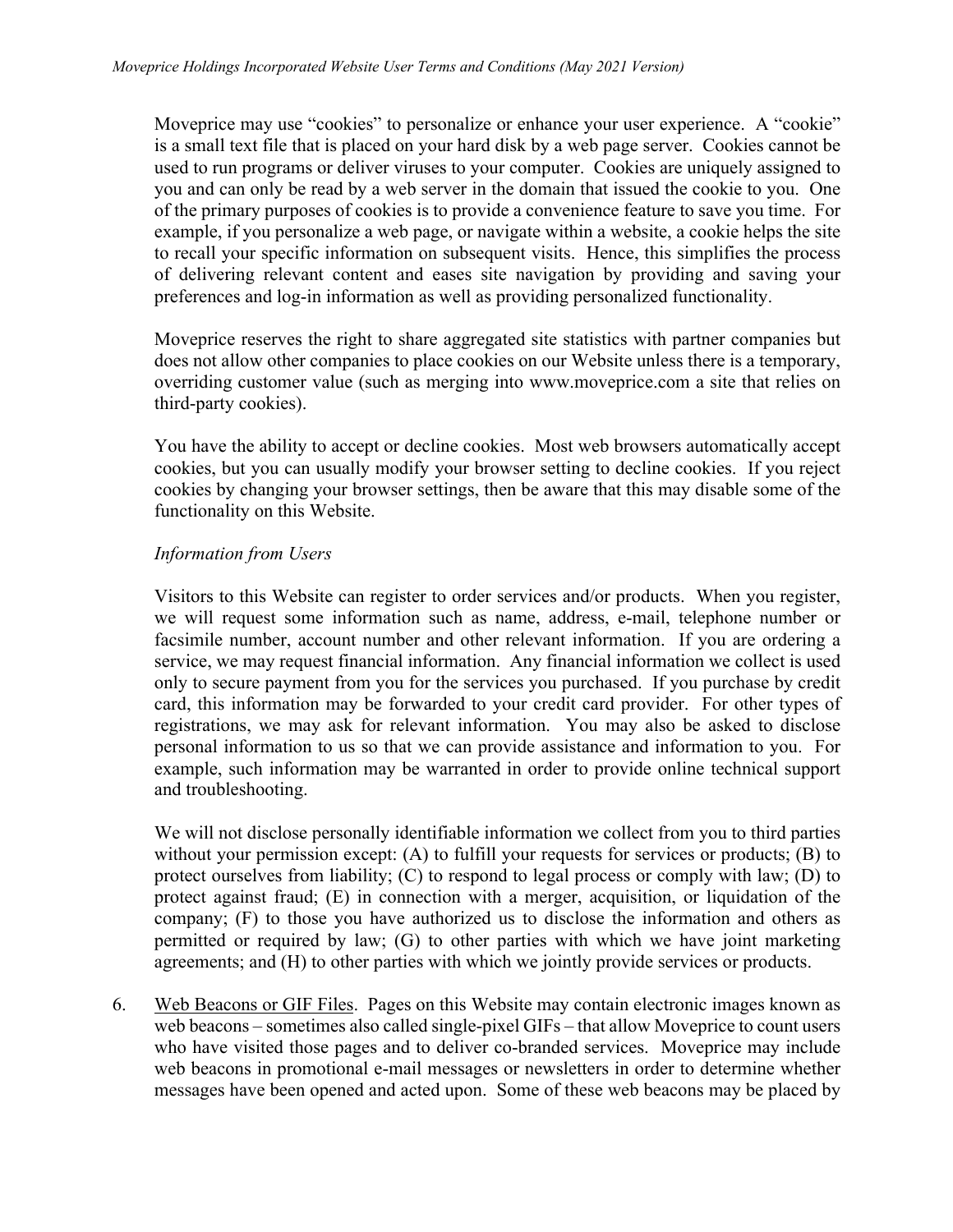Moveprice may use "cookies" to personalize or enhance your user experience. A "cookie" is a small text file that is placed on your hard disk by a web page server. Cookies cannot be used to run programs or deliver viruses to your computer. Cookies are uniquely assigned to you and can only be read by a web server in the domain that issued the cookie to you. One of the primary purposes of cookies is to provide a convenience feature to save you time. For example, if you personalize a web page, or navigate within a website, a cookie helps the site to recall your specific information on subsequent visits. Hence, this simplifies the process of delivering relevant content and eases site navigation by providing and saving your preferences and log-in information as well as providing personalized functionality.

Moveprice reserves the right to share aggregated site statistics with partner companies but does not allow other companies to place cookies on our Website unless there is a temporary, overriding customer value (such as merging into www.moveprice.com a site that relies on third-party cookies).

You have the ability to accept or decline cookies. Most web browsers automatically accept cookies, but you can usually modify your browser setting to decline cookies. If you reject cookies by changing your browser settings, then be aware that this may disable some of the functionality on this Website.

## *Information from Users*

Visitors to this Website can register to order services and/or products. When you register, we will request some information such as name, address, e-mail, telephone number or facsimile number, account number and other relevant information. If you are ordering a service, we may request financial information. Any financial information we collect is used only to secure payment from you for the services you purchased. If you purchase by credit card, this information may be forwarded to your credit card provider. For other types of registrations, we may ask for relevant information. You may also be asked to disclose personal information to us so that we can provide assistance and information to you. For example, such information may be warranted in order to provide online technical support and troubleshooting.

We will not disclose personally identifiable information we collect from you to third parties without your permission except: (A) to fulfill your requests for services or products; (B) to protect ourselves from liability; (C) to respond to legal process or comply with law; (D) to protect against fraud; (E) in connection with a merger, acquisition, or liquidation of the company; (F) to those you have authorized us to disclose the information and others as permitted or required by law; (G) to other parties with which we have joint marketing agreements; and (H) to other parties with which we jointly provide services or products.

6. Web Beacons or GIF Files. Pages on this Website may contain electronic images known as web beacons – sometimes also called single-pixel GIFs – that allow Moveprice to count users who have visited those pages and to deliver co-branded services. Moveprice may include web beacons in promotional e-mail messages or newsletters in order to determine whether messages have been opened and acted upon. Some of these web beacons may be placed by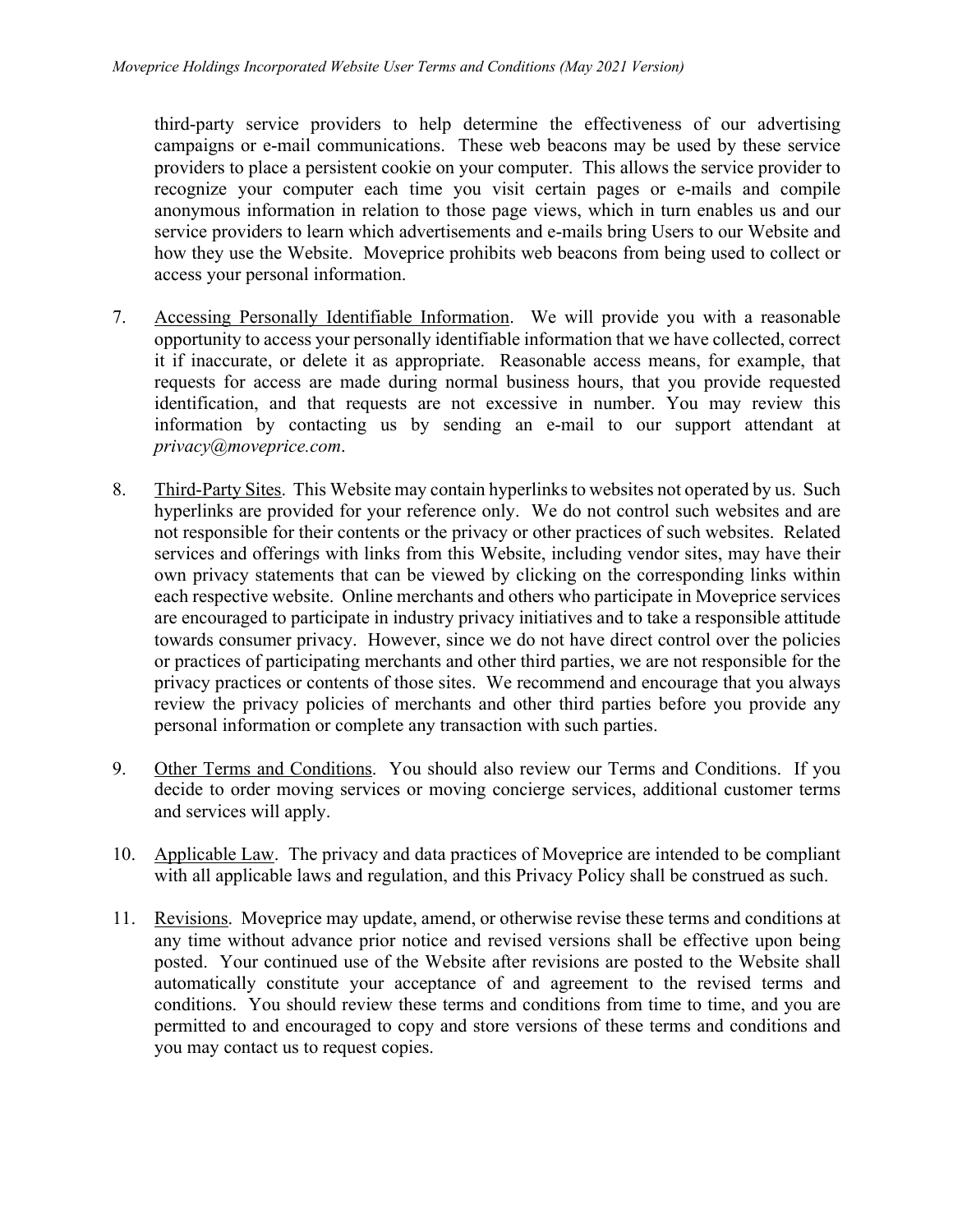third-party service providers to help determine the effectiveness of our advertising campaigns or e-mail communications. These web beacons may be used by these service providers to place a persistent cookie on your computer. This allows the service provider to recognize your computer each time you visit certain pages or e-mails and compile anonymous information in relation to those page views, which in turn enables us and our service providers to learn which advertisements and e-mails bring Users to our Website and how they use the Website. Moveprice prohibits web beacons from being used to collect or access your personal information.

- 7. Accessing Personally Identifiable Information. We will provide you with a reasonable opportunity to access your personally identifiable information that we have collected, correct it if inaccurate, or delete it as appropriate. Reasonable access means, for example, that requests for access are made during normal business hours, that you provide requested identification, and that requests are not excessive in number. You may review this information by contacting us by sending an e-mail to our support attendant at *privacy@moveprice.com*.
- 8. Third-Party Sites. This Website may contain hyperlinks to websites not operated by us. Such hyperlinks are provided for your reference only. We do not control such websites and are not responsible for their contents or the privacy or other practices of such websites. Related services and offerings with links from this Website, including vendor sites, may have their own privacy statements that can be viewed by clicking on the corresponding links within each respective website. Online merchants and others who participate in Moveprice services are encouraged to participate in industry privacy initiatives and to take a responsible attitude towards consumer privacy. However, since we do not have direct control over the policies or practices of participating merchants and other third parties, we are not responsible for the privacy practices or contents of those sites. We recommend and encourage that you always review the privacy policies of merchants and other third parties before you provide any personal information or complete any transaction with such parties.
- 9. Other Terms and Conditions. You should also review our Terms and Conditions. If you decide to order moving services or moving concierge services, additional customer terms and services will apply.
- 10. Applicable Law. The privacy and data practices of Moveprice are intended to be compliant with all applicable laws and regulation, and this Privacy Policy shall be construed as such.
- 11. Revisions. Moveprice may update, amend, or otherwise revise these terms and conditions at any time without advance prior notice and revised versions shall be effective upon being posted. Your continued use of the Website after revisions are posted to the Website shall automatically constitute your acceptance of and agreement to the revised terms and conditions. You should review these terms and conditions from time to time, and you are permitted to and encouraged to copy and store versions of these terms and conditions and you may contact us to request copies.